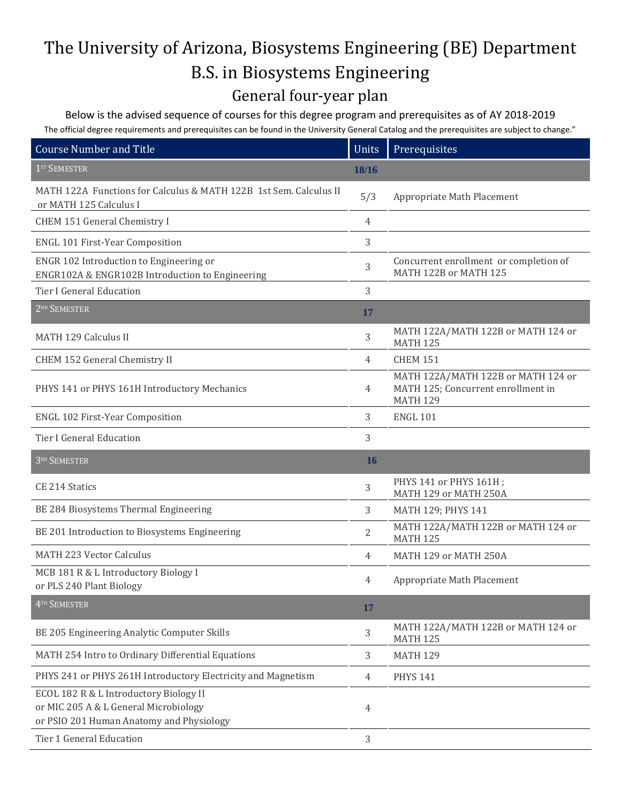## The University of Arizona, Biosystems Engineering (BE) Department B.S. in Biosystems Engineering

## General four-year plan

Below is the advised sequence of courses for this degree program and prerequisites as of AY 2018-2019 The official degree requirements and prerequisites can be found in the University General Catalog and the prerequisites are subject to change."

| <b>Course Number and Title</b>                                                                                              | Units | Prerequisites                                                                               |
|-----------------------------------------------------------------------------------------------------------------------------|-------|---------------------------------------------------------------------------------------------|
| 1 <sup>ST</sup> SEMESTER                                                                                                    | 18/16 |                                                                                             |
| MATH 122A Functions for Calculus & MATH 122B 1st Sem. Calculus II<br>or MATH 125 Calculus I                                 | 5/3   | Appropriate Math Placement                                                                  |
| CHEM 151 General Chemistry I                                                                                                | 4     |                                                                                             |
| <b>ENGL 101 First-Year Composition</b>                                                                                      | 3     |                                                                                             |
| ENGR 102 Introduction to Engineering or<br>ENGR102A & ENGR102B Introduction to Engineering                                  | 3     | Concurrent enrollment or completion of<br>MATH 122B or MATH 125                             |
| <b>Tier I General Education</b>                                                                                             | 3     |                                                                                             |
| 2 <sup>ND</sup> SEMESTER                                                                                                    | 17    |                                                                                             |
| <b>MATH 129 Calculus II</b>                                                                                                 | 3     | MATH 122A/MATH 122B or MATH 124 or<br><b>MATH 125</b>                                       |
| CHEM 152 General Chemistry II                                                                                               | 4     | <b>CHEM 151</b>                                                                             |
| PHYS 141 or PHYS 161H Introductory Mechanics                                                                                | 4     | MATH 122A/MATH 122B or MATH 124 or<br>MATH 125; Concurrent enrollment in<br><b>MATH 129</b> |
| ENGL 102 First-Year Composition                                                                                             | 3     | <b>ENGL 101</b>                                                                             |
| <b>Tier I General Education</b>                                                                                             | 3     |                                                                                             |
| 3RD SEMESTER                                                                                                                | 16    |                                                                                             |
| CE 214 Statics                                                                                                              | 3     | PHYS 141 or PHYS 161H;<br>MATH 129 or MATH 250A                                             |
| BE 284 Biosystems Thermal Engineering                                                                                       | 3     | MATH 129; PHYS 141                                                                          |
| BE 201 Introduction to Biosystems Engineering                                                                               | 2     | MATH 122A/MATH 122B or MATH 124 or<br><b>MATH 125</b>                                       |
| <b>MATH 223 Vector Calculus</b>                                                                                             | 4     | MATH 129 or MATH 250A                                                                       |
| MCB 181 R & L Introductory Biology I<br>or PLS 240 Plant Biology                                                            | 4     | Appropriate Math Placement                                                                  |
| 4TH SEMESTER                                                                                                                | 17    |                                                                                             |
| BE 205 Engineering Analytic Computer Skills                                                                                 | 3     | MATH 122A/MATH 122B or MATH 124 or<br><b>MATH 125</b>                                       |
| MATH 254 Intro to Ordinary Differential Equations                                                                           | 3     | <b>MATH 129</b>                                                                             |
| PHYS 241 or PHYS 261H Introductory Electricity and Magnetism                                                                | 4     | <b>PHYS 141</b>                                                                             |
| ECOL 182 R & L Introductory Biology II<br>or MIC 205 A & L General Microbiology<br>or PSIO 201 Human Anatomy and Physiology | 4     |                                                                                             |
| Tier 1 General Education                                                                                                    | 3     |                                                                                             |